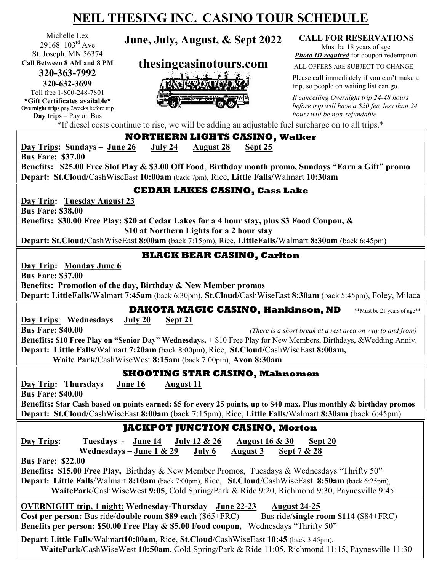# NEIL THESING INC. CASINO TOUR SCHEDULE

Michelle Lex 29168 103rd Ave St. Joseph, MN 56374 Call Between 8 AM and 8 PM 320-363-7992 320-632-3699

Toll free 1-800-248-7801 \*Gift Certificates available\* Overnight trips pay 2weeks before trip Day trips – Pay on Bus

June, July, August, & Sept 2022 CALL FOR RESERVATIONS

thesingcasinotours.com



Must be 18 years of age **Photo ID required** for coupon redemption

ALL OFFERS ARE SUBJECT TO CHANGE

Please call immediately if you can't make a trip, so people on waiting list can go.

If cancelling Overnight trip 24-48 hours before trip will have a \$20 fee, less than 24 hours will be non-refundable.

\*If diesel costs continue to rise, we will be adding an adjustable fuel surcharge on to all trips.\*

NORTHERN LIGHTS CASINO, Walker Day Trips: Sundays – June 26 July 24 August 28 Sept 25 Bus Fare: \$37.00 Benefits: \$25.00 Free Slot Play & \$3.00 Off Food, Birthday month promo, Sundays "Earn a Gift" promo Depart: St.Cloud/CashWiseEast 10:00am (back 7pm), Rice, Little Falls/Walmart 10:30am CEDAR LAKES CASINO, Cass Lake Day Trip: Tuesday August 23 Bus Fare: \$38.00 Benefits: \$30.00 Free Play: \$20 at Cedar Lakes for a 4 hour stay, plus \$3 Food Coupon, & \$10 at Northern Lights for a 2 hour stay Depart: St.Cloud/CashWiseEast 8:00am (back 7:15pm), Rice, LittleFalls/Walmart 8:30am (back 6:45pm) BLACK BEAR CASINO, Carlton Day Trip: Monday June 6 Bus Fare: \$37.00 Benefits: Promotion of the day, Birthday & New Member promos Depart: LittleFalls/Walmart 7:45am (back 6:30pm), St.Cloud/CashWiseEast 8:30am (back 5:45pm), Foley, Milaca DAKOTA MAGIC CASINO, Hankinson, ND \*\*Must be 21 years of age\*\* Day Trips: Wednesdays July 20 Sept 21 **Bus Fare: \$40.00** (There is a short break at a rest area on way to and from) Benefits: \$10 Free Play on "Senior Day" Wednesdays, + \$10 Free Play for New Members, Birthdays, &Wedding Anniv. Depart: Little Falls/Walmart 7:20am (back 8:00pm), Rice, St.Cloud/CashWiseEast 8:00am, Waite Park/CashWiseWest 8:15am (back 7:00pm), Avon 8:30am SHOOTING STAR CASINO, Mahnomen Day Trip: Thursdays June 16 August 11 Bus Fare: \$40.00 Benefits: Star Cash based on points earned: \$5 for every 25 points, up to \$40 max. Plus monthly & birthday promos Depart: St.Cloud/CashWiseEast 8:00am (back 7:15pm), Rice, Little Falls/Walmart 8:30am (back 6:45pm) JACKPOT JUNCTION CASINO, Morton Day Trips: Tuesdays - June 14 July 12 & 26 August 16 & 30 Sept 20 Wednesdays – June  $1 \& 29$  July 6 August 3 Sept  $7 \& 28$ Bus Fare: \$22.00 Benefits: \$15.00 Free Play, Birthday & New Member Promos, Tuesdays & Wednesdays "Thrifty 50" Depart: Little Falls/Walmart 8:10am (back 7:00pm), Rice, St.Cloud/CashWiseEast 8:50am (back 6:25pm), WaitePark/CashWiseWest 9:05, Cold Spring/Park & Ride 9:20, Richmond 9:30, Paynesville 9:45 OVERNIGHT trip, 1 night: Wednesday-Thursday June 22-23 August 24-25 Cost per person: Bus ride/double room \$89 each  $(\$65 + FRC)$  Bus ride/single room \$114 (\$84 + FRC) Benefits per person: \$50.00 Free Play & \$5.00 Food coupon, Wednesdays "Thrifty 50"

Depart: Little Falls/Walmart10:00am, Rice, St.Cloud/CashWiseEast 10:45 (back 3:45pm), WaitePark/CashWiseWest 10:50am, Cold Spring/Park & Ride 11:05, Richmond 11:15, Paynesville 11:30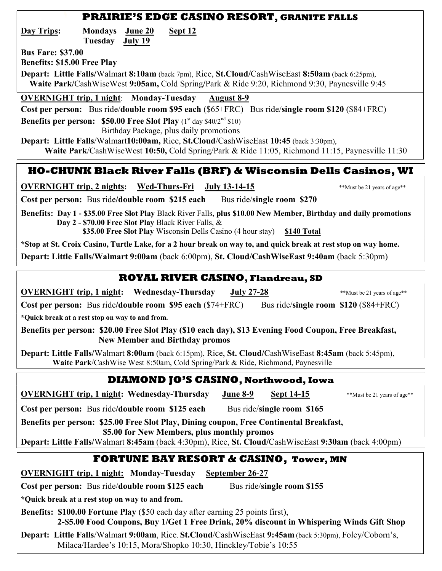#### PRAIRIE'S EDGE CASINO RESORT, GRANITE FALLS

Day Trips: Mondays June 20 Sept 12 Tuesday July 19

Bus Fare: \$37.00

Benefits: \$15.00 Free Play

Depart: Little Falls/Walmart 8:10am (back 7pm), Rice, St.Cloud/CashWiseEast 8:50am (back 6:25pm), Waite Park/CashWiseWest 9:05am, Cold Spring/Park & Ride 9:20, Richmond 9:30, Paynesville 9:45

OVERNIGHT trip, 1 night: Monday-Tuesday August 8-9

Cost per person: Bus ride/double room \$95 each (\$65+FRC) Bus ride/single room \$120 (\$84+FRC)

Benefits per person: \$50.00 Free Slot Play  $(1<sup>st</sup> day $40/2<sup>nd</sup> $10)$ 

 Birthday Package, plus daily promotions Depart: Little Falls/Walmart10:00am, Rice, St.Cloud/CashWiseEast 10:45 (back 3:30pm).

Waite Park/CashWiseWest 10:50, Cold Spring/Park & Ride 11:05, Richmond 11:15, Paynesville 11:30

### HO-CHUNK Black River Falls (BRF) & Wisconsin Dells Casinos, WI

OVERNIGHT trip, 2 nights: Wed-Thurs-Fri July 13-14-15 \*\*Must be 21 years of age\*\*

Cost per person: Bus ride/double room \$215 each Bus ride/single room \$270

Benefits: Day 1 - \$35.00 Free Slot Play Black River Falls, plus \$10.00 New Member, Birthday and daily promotions Day 2 - \$70.00 Free Slot Play Black River Falls, &

\$35.00 Free Slot Play Wisconsin Dells Casino (4 hour stay) \$140 Total

\*Stop at St. Croix Casino, Turtle Lake, for a 2 hour break on way to, and quick break at rest stop on way home.

Depart: Little Falls/Walmart 9:00am (back 6:00pm), St. Cloud/CashWiseEast 9:40am (back 5:30pm)

#### ROYAL RIVER CASINO, Flandreau, SD

OVERNIGHT trip, 1 night: Wednesday-Thursday July 27-28 \*\*Must be 21 years of age\*\*

Cost per person: Bus ride/double room \$95 each (\$74+FRC) Bus ride/single room \$120 (\$84+FRC)

\*Quick break at a rest stop on way to and from.

Benefits per person: \$20.00 Free Slot Play (\$10 each day), \$13 Evening Food Coupon, Free Breakfast, New Member and Birthday promos

Depart: Little Falls/Walmart 8:00am (back 6:15pm), Rice, St. Cloud/CashWiseEast 8:45am (back 5:45pm), Waite Park/CashWise West 8:50am, Cold Spring/Park & Ride, Richmond, Paynesville

### DIAMOND JO'S CASINO, Northwood, Iowa

**OVERNIGHT trip, 1 night: Wednesday-Thursday** June 8-9 Sept 14-15 \*\*Must be 21 years of age\*\*

Cost per person: Bus ride/double room \$125 each Bus ride/single room \$165

Benefits per person: \$25.00 Free Slot Play, Dining coupon, Free Continental Breakfast, \$5.00 for New Members, plus monthly promos

Depart: Little Falls/Walmart 8:45am (back 4:30pm), Rice, St. Cloud/CashWiseEast 9:30am (back 4:00pm)

### FORTUNE BAY RESORT & CASINO, Tower, MN

OVERNIGHT trip, 1 night: Monday-Tuesday September 26-27

Cost per person: Bus ride/double room \$125 each Bus ride/single room \$155

\*Quick break at a rest stop on way to and from.

Benefits: \$100.00 Fortune Play (\$50 each day after earning 25 points first), 2-\$5.00 Food Coupons, Buy 1/Get 1 Free Drink, 20% discount in Whispering Winds Gift Shop

Depart: Little Falls/Walmart 9:00am, Rice, St.Cloud/CashWiseEast 9:45am (back 5:30pm), Foley/Coborn's, Milaca/Hardee's 10:15, Mora/Shopko 10:30, Hinckley/Tobie's 10:55